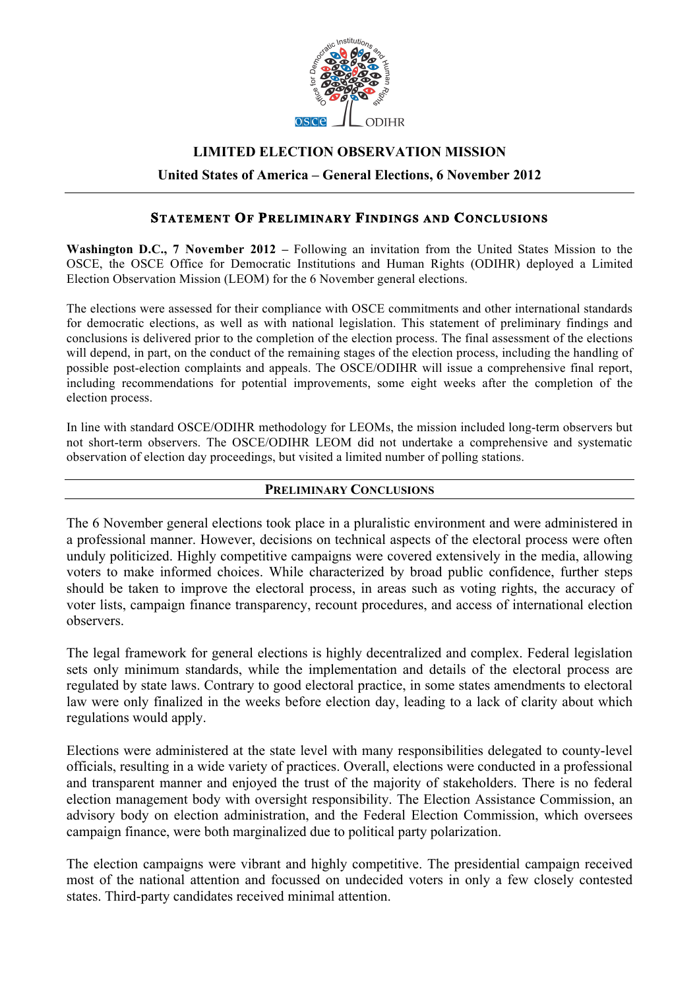

# **LIMITED ELECTION OBSERVATION MISSION**

**United States of America – General Elections, 6 November 2012**

# **STATEMENT OF PRELIMINARY FINDINGS AND CONCLUSIONS**

**Washington D.C., 7 November 2012 –** Following an invitation from the United States Mission to the OSCE, the OSCE Office for Democratic Institutions and Human Rights (ODIHR) deployed a Limited Election Observation Mission (LEOM) for the 6 November general elections.

The elections were assessed for their compliance with OSCE commitments and other international standards for democratic elections, as well as with national legislation. This statement of preliminary findings and conclusions is delivered prior to the completion of the election process. The final assessment of the elections will depend, in part, on the conduct of the remaining stages of the election process, including the handling of possible post-election complaints and appeals. The OSCE/ODIHR will issue a comprehensive final report, including recommendations for potential improvements, some eight weeks after the completion of the election process.

In line with standard OSCE/ODIHR methodology for LEOMs, the mission included long-term observers but not short-term observers. The OSCE/ODIHR LEOM did not undertake a comprehensive and systematic observation of election day proceedings, but visited a limited number of polling stations.

## **PRELIMINARY CONCLUSIONS**

The 6 November general elections took place in a pluralistic environment and were administered in a professional manner. However, decisions on technical aspects of the electoral process were often unduly politicized. Highly competitive campaigns were covered extensively in the media, allowing voters to make informed choices. While characterized by broad public confidence, further steps should be taken to improve the electoral process, in areas such as voting rights, the accuracy of voter lists, campaign finance transparency, recount procedures, and access of international election observers.

The legal framework for general elections is highly decentralized and complex. Federal legislation sets only minimum standards, while the implementation and details of the electoral process are regulated by state laws. Contrary to good electoral practice, in some states amendments to electoral law were only finalized in the weeks before election day, leading to a lack of clarity about which regulations would apply.

Elections were administered at the state level with many responsibilities delegated to county-level officials, resulting in a wide variety of practices. Overall, elections were conducted in a professional and transparent manner and enjoyed the trust of the majority of stakeholders. There is no federal election management body with oversight responsibility. The Election Assistance Commission, an advisory body on election administration, and the Federal Election Commission, which oversees campaign finance, were both marginalized due to political party polarization.

The election campaigns were vibrant and highly competitive. The presidential campaign received most of the national attention and focussed on undecided voters in only a few closely contested states. Third-party candidates received minimal attention.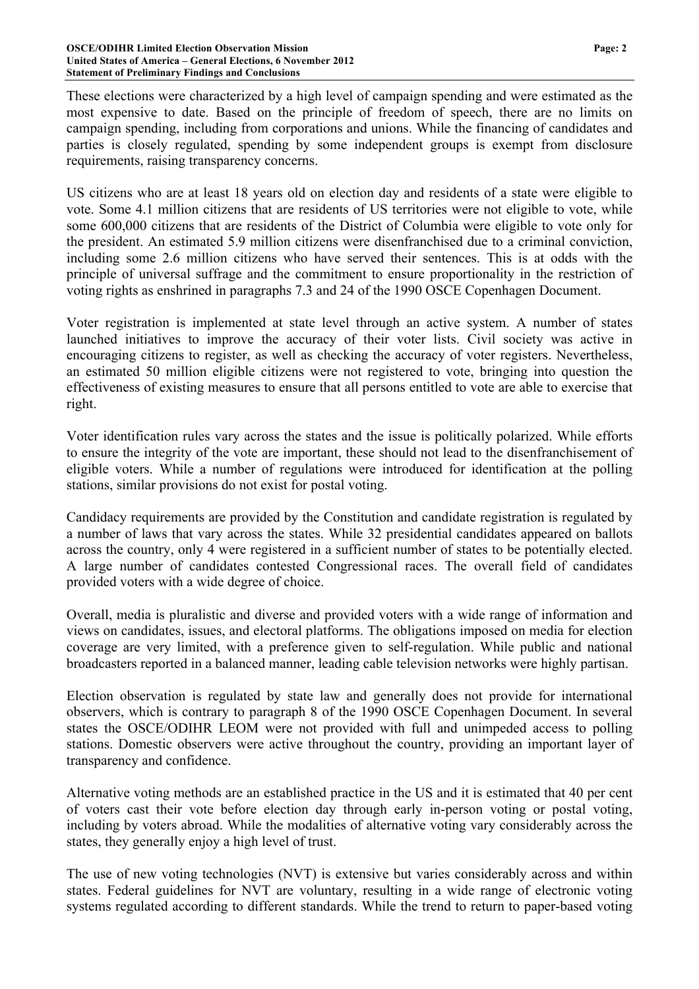These elections were characterized by a high level of campaign spending and were estimated as the most expensive to date. Based on the principle of freedom of speech, there are no limits on campaign spending, including from corporations and unions. While the financing of candidates and parties is closely regulated, spending by some independent groups is exempt from disclosure requirements, raising transparency concerns.

US citizens who are at least 18 years old on election day and residents of a state were eligible to vote. Some 4.1 million citizens that are residents of US territories were not eligible to vote, while some 600,000 citizens that are residents of the District of Columbia were eligible to vote only for the president. An estimated 5.9 million citizens were disenfranchised due to a criminal conviction, including some 2.6 million citizens who have served their sentences. This is at odds with the principle of universal suffrage and the commitment to ensure proportionality in the restriction of voting rights as enshrined in paragraphs 7.3 and 24 of the 1990 OSCE Copenhagen Document.

Voter registration is implemented at state level through an active system. A number of states launched initiatives to improve the accuracy of their voter lists. Civil society was active in encouraging citizens to register, as well as checking the accuracy of voter registers. Nevertheless, an estimated 50 million eligible citizens were not registered to vote, bringing into question the effectiveness of existing measures to ensure that all persons entitled to vote are able to exercise that right.

Voter identification rules vary across the states and the issue is politically polarized. While efforts to ensure the integrity of the vote are important, these should not lead to the disenfranchisement of eligible voters. While a number of regulations were introduced for identification at the polling stations, similar provisions do not exist for postal voting.

Candidacy requirements are provided by the Constitution and candidate registration is regulated by a number of laws that vary across the states. While 32 presidential candidates appeared on ballots across the country, only 4 were registered in a sufficient number of states to be potentially elected. A large number of candidates contested Congressional races. The overall field of candidates provided voters with a wide degree of choice.

Overall, media is pluralistic and diverse and provided voters with a wide range of information and views on candidates, issues, and electoral platforms. The obligations imposed on media for election coverage are very limited, with a preference given to self-regulation. While public and national broadcasters reported in a balanced manner, leading cable television networks were highly partisan.

Election observation is regulated by state law and generally does not provide for international observers, which is contrary to paragraph 8 of the 1990 OSCE Copenhagen Document. In several states the OSCE/ODIHR LEOM were not provided with full and unimpeded access to polling stations. Domestic observers were active throughout the country, providing an important layer of transparency and confidence.

Alternative voting methods are an established practice in the US and it is estimated that 40 per cent of voters cast their vote before election day through early in-person voting or postal voting, including by voters abroad. While the modalities of alternative voting vary considerably across the states, they generally enjoy a high level of trust.

The use of new voting technologies (NVT) is extensive but varies considerably across and within states. Federal guidelines for NVT are voluntary, resulting in a wide range of electronic voting systems regulated according to different standards. While the trend to return to paper-based voting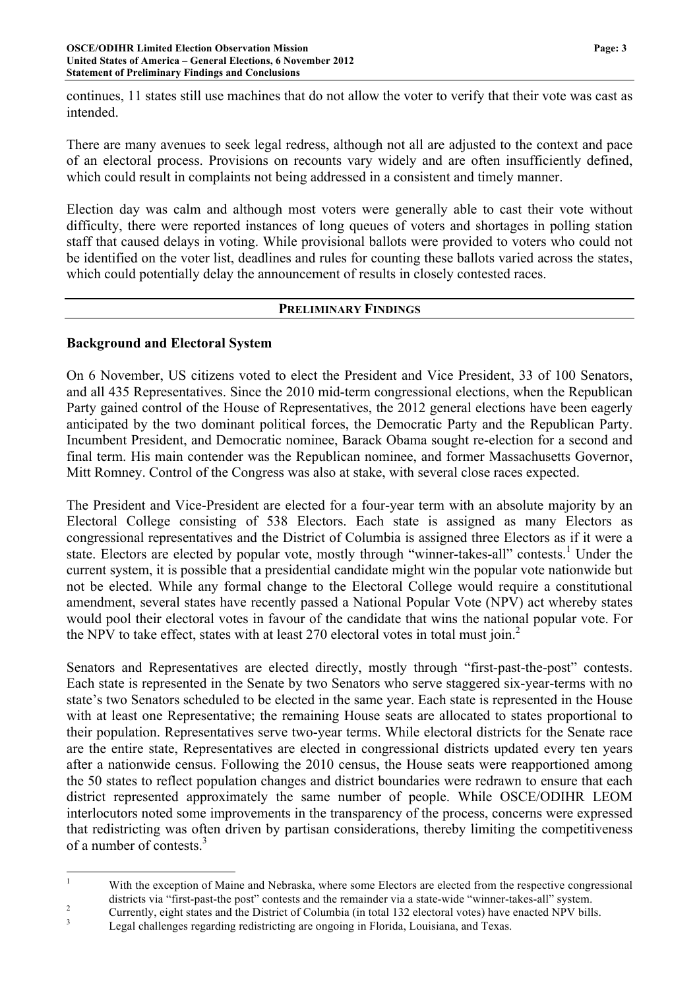continues, 11 states still use machines that do not allow the voter to verify that their vote was cast as intended.

There are many avenues to seek legal redress, although not all are adjusted to the context and pace of an electoral process. Provisions on recounts vary widely and are often insufficiently defined, which could result in complaints not being addressed in a consistent and timely manner.

Election day was calm and although most voters were generally able to cast their vote without difficulty, there were reported instances of long queues of voters and shortages in polling station staff that caused delays in voting. While provisional ballots were provided to voters who could not be identified on the voter list, deadlines and rules for counting these ballots varied across the states, which could potentially delay the announcement of results in closely contested races.

### **PRELIMINARY FINDINGS**

# **Background and Electoral System**

On 6 November, US citizens voted to elect the President and Vice President, 33 of 100 Senators, and all 435 Representatives. Since the 2010 mid-term congressional elections, when the Republican Party gained control of the House of Representatives, the 2012 general elections have been eagerly anticipated by the two dominant political forces, the Democratic Party and the Republican Party. Incumbent President, and Democratic nominee, Barack Obama sought re-election for a second and final term. His main contender was the Republican nominee, and former Massachusetts Governor, Mitt Romney. Control of the Congress was also at stake, with several close races expected.

The President and Vice-President are elected for a four-year term with an absolute majority by an Electoral College consisting of 538 Electors. Each state is assigned as many Electors as congressional representatives and the District of Columbia is assigned three Electors as if it were a state. Electors are elected by popular vote, mostly through "winner-takes-all" contests.<sup>1</sup> Under the current system, it is possible that a presidential candidate might win the popular vote nationwide but not be elected. While any formal change to the Electoral College would require a constitutional amendment, several states have recently passed a National Popular Vote (NPV) act whereby states would pool their electoral votes in favour of the candidate that wins the national popular vote. For the NPV to take effect, states with at least 270 electoral votes in total must join.<sup>2</sup>

Senators and Representatives are elected directly, mostly through "first-past-the-post" contests. Each state is represented in the Senate by two Senators who serve staggered six-year-terms with no state's two Senators scheduled to be elected in the same year. Each state is represented in the House with at least one Representative; the remaining House seats are allocated to states proportional to their population. Representatives serve two-year terms. While electoral districts for the Senate race are the entire state, Representatives are elected in congressional districts updated every ten years after a nationwide census. Following the 2010 census, the House seats were reapportioned among the 50 states to reflect population changes and district boundaries were redrawn to ensure that each district represented approximately the same number of people. While OSCE/ODIHR LEOM interlocutors noted some improvements in the transparency of the process, concerns were expressed that redistricting was often driven by partisan considerations, thereby limiting the competitiveness of a number of contests.<sup>3</sup>

<sup>&</sup>lt;sup>1</sup> With the exception of Maine and Nebraska, where some Electors are elected from the respective congressional

districts via "first-past-the post" contests and the remainder via a state-wide "winner-takes-all" system.<br>
Currently, eight states and the District of Columbia (in total 132 electoral votes) have enacted NPV bills.<br>
Legal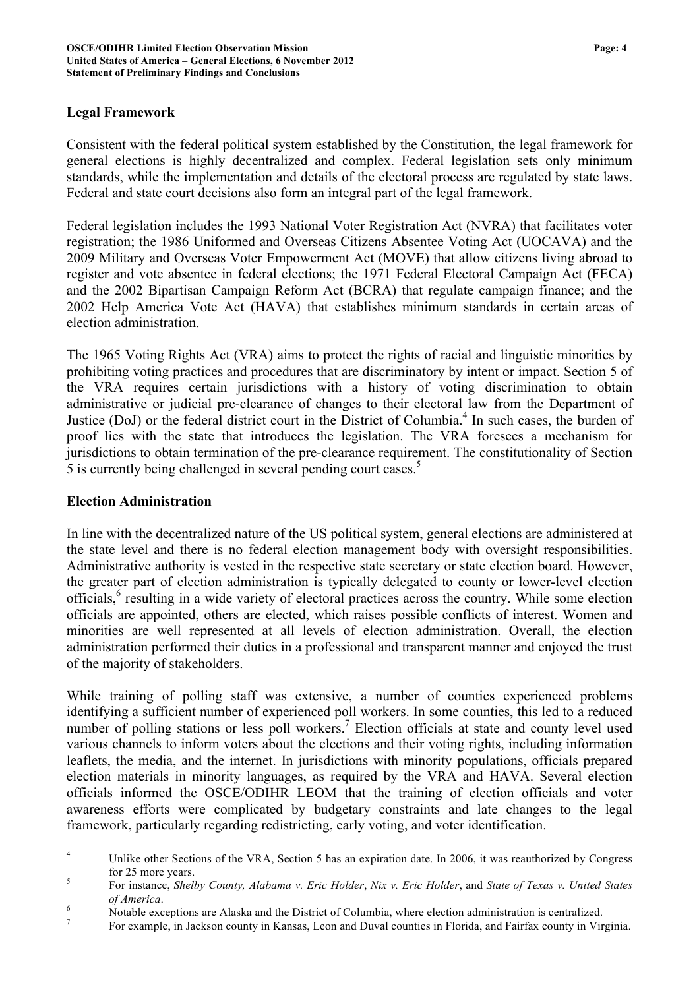# **Legal Framework**

Consistent with the federal political system established by the Constitution, the legal framework for general elections is highly decentralized and complex. Federal legislation sets only minimum standards, while the implementation and details of the electoral process are regulated by state laws. Federal and state court decisions also form an integral part of the legal framework.

Federal legislation includes the 1993 National Voter Registration Act (NVRA) that facilitates voter registration; the 1986 Uniformed and Overseas Citizens Absentee Voting Act (UOCAVA) and the 2009 Military and Overseas Voter Empowerment Act (MOVE) that allow citizens living abroad to register and vote absentee in federal elections; the 1971 Federal Electoral Campaign Act (FECA) and the 2002 Bipartisan Campaign Reform Act (BCRA) that regulate campaign finance; and the 2002 Help America Vote Act (HAVA) that establishes minimum standards in certain areas of election administration.

The 1965 Voting Rights Act (VRA) aims to protect the rights of racial and linguistic minorities by prohibiting voting practices and procedures that are discriminatory by intent or impact. Section 5 of the VRA requires certain jurisdictions with a history of voting discrimination to obtain administrative or judicial pre-clearance of changes to their electoral law from the Department of Justice (DoJ) or the federal district court in the District of Columbia.<sup>4</sup> In such cases, the burden of proof lies with the state that introduces the legislation. The VRA foresees a mechanism for jurisdictions to obtain termination of the pre-clearance requirement. The constitutionality of Section 5 is currently being challenged in several pending court cases.<sup>5</sup>

# **Election Administration**

In line with the decentralized nature of the US political system, general elections are administered at the state level and there is no federal election management body with oversight responsibilities. Administrative authority is vested in the respective state secretary or state election board. However, the greater part of election administration is typically delegated to county or lower-level election officials,<sup>6</sup> resulting in a wide variety of electoral practices across the country. While some election officials are appointed, others are elected, which raises possible conflicts of interest. Women and minorities are well represented at all levels of election administration. Overall, the election administration performed their duties in a professional and transparent manner and enjoyed the trust of the majority of stakeholders.

While training of polling staff was extensive, a number of counties experienced problems identifying a sufficient number of experienced poll workers. In some counties, this led to a reduced number of polling stations or less poll workers.<sup>7</sup> Election officials at state and county level used various channels to inform voters about the elections and their voting rights, including information leaflets, the media, and the internet. In jurisdictions with minority populations, officials prepared election materials in minority languages, as required by the VRA and HAVA. Several election officials informed the OSCE/ODIHR LEOM that the training of election officials and voter awareness efforts were complicated by budgetary constraints and late changes to the legal framework, particularly regarding redistricting, early voting, and voter identification.

<sup>&</sup>lt;sup>4</sup> Unlike other Sections of the VRA, Section 5 has an expiration date. In 2006, it was reauthorized by Congress for 25 more years. <sup>5</sup> For instance, *Shelby County, Alabama v. Eric Holder*, *Nix v. Eric Holder*, and *State of Texas v. United States* 

of America.<br>
Notable exceptions are Alaska and the District of Columbia, where election administration is centralized.<br>
For example, in Jackson county in Kansas, Leon and Duval counties in Florida, and Fairfax county in V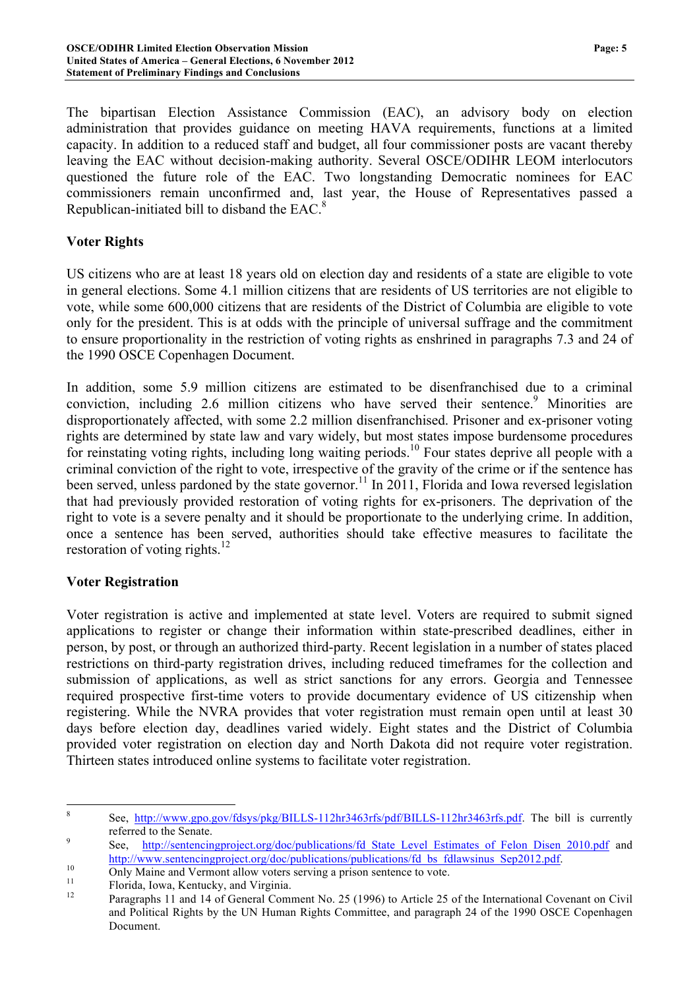The bipartisan Election Assistance Commission (EAC), an advisory body on election administration that provides guidance on meeting HAVA requirements, functions at a limited capacity. In addition to a reduced staff and budget, all four commissioner posts are vacant thereby leaving the EAC without decision-making authority. Several OSCE/ODIHR LEOM interlocutors questioned the future role of the EAC. Two longstanding Democratic nominees for EAC commissioners remain unconfirmed and, last year, the House of Representatives passed a Republican-initiated bill to disband the EAC.<sup>8</sup>

### **Voter Rights**

US citizens who are at least 18 years old on election day and residents of a state are eligible to vote in general elections. Some 4.1 million citizens that are residents of US territories are not eligible to vote, while some 600,000 citizens that are residents of the District of Columbia are eligible to vote only for the president. This is at odds with the principle of universal suffrage and the commitment to ensure proportionality in the restriction of voting rights as enshrined in paragraphs 7.3 and 24 of the 1990 OSCE Copenhagen Document.

In addition, some 5.9 million citizens are estimated to be disenfranchised due to a criminal conviction, including 2.6 million citizens who have served their sentence.<sup>9</sup> Minorities are disproportionately affected, with some 2.2 million disenfranchised. Prisoner and ex-prisoner voting rights are determined by state law and vary widely, but most states impose burdensome procedures for reinstating voting rights, including long waiting periods.<sup>10</sup> Four states deprive all people with a criminal conviction of the right to vote, irrespective of the gravity of the crime or if the sentence has been served, unless pardoned by the state governor.<sup>11</sup> In 2011, Florida and Iowa reversed legislation that had previously provided restoration of voting rights for ex-prisoners. The deprivation of the right to vote is a severe penalty and it should be proportionate to the underlying crime. In addition, once a sentence has been served, authorities should take effective measures to facilitate the restoration of voting rights.<sup>12</sup>

### **Voter Registration**

Voter registration is active and implemented at state level. Voters are required to submit signed applications to register or change their information within state-prescribed deadlines, either in person, by post, or through an authorized third-party. Recent legislation in a number of states placed restrictions on third-party registration drives, including reduced timeframes for the collection and submission of applications, as well as strict sanctions for any errors. Georgia and Tennessee required prospective first-time voters to provide documentary evidence of US citizenship when registering. While the NVRA provides that voter registration must remain open until at least 30 days before election day, deadlines varied widely. Eight states and the District of Columbia provided voter registration on election day and North Dakota did not require voter registration. Thirteen states introduced online systems to facilitate voter registration.

 <sup>8</sup> See, http://www.gpo.gov/fdsys/pkg/BILLS-112hr3463rfs/pdf/BILLS-112hr3463rfs.pdf. The bill is currently

referred to the Senate.<br>
9 See, http://sentencingproject.org/doc/publications/fd\_State\_Level\_Estimates\_of\_Felon\_Disen\_2010.pdf and

http://www.sentencingproject.org/doc/publications/publications/fd\_bs\_fdlawsinus\_Sep2012.pdf.<br>
Only Maine and Vermont allow voters serving a prison sentence to vote.<br>
Florida, Iowa, Kentucky, and Virginia.<br>
Paragraphs 11 an and Political Rights by the UN Human Rights Committee, and paragraph 24 of the 1990 OSCE Copenhagen Document.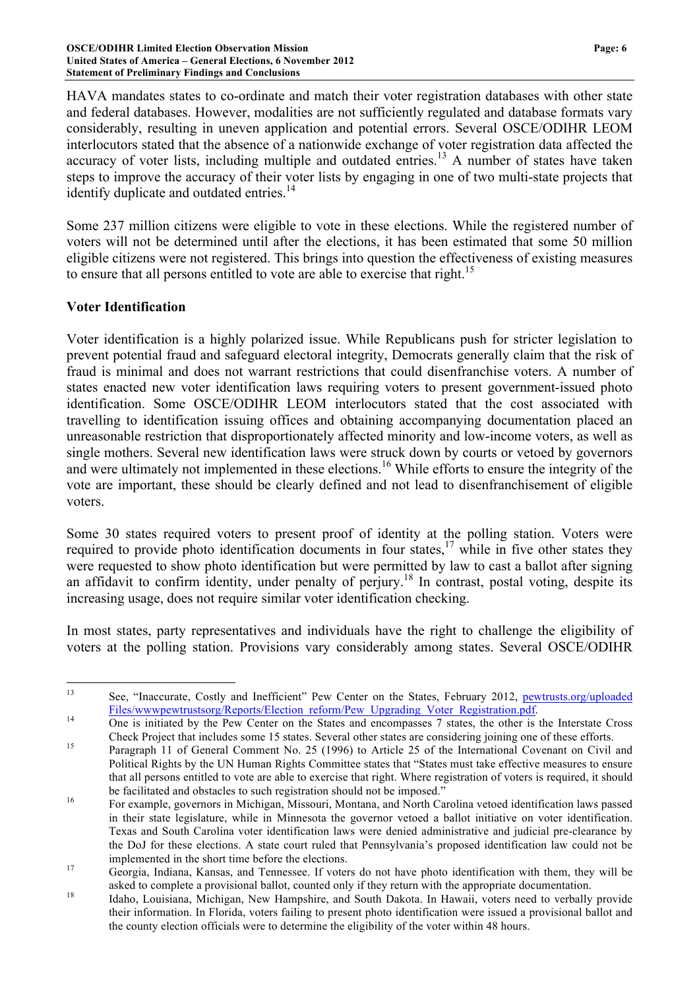HAVA mandates states to co-ordinate and match their voter registration databases with other state and federal databases. However, modalities are not sufficiently regulated and database formats vary considerably, resulting in uneven application and potential errors. Several OSCE/ODIHR LEOM interlocutors stated that the absence of a nationwide exchange of voter registration data affected the accuracy of voter lists, including multiple and outdated entries.<sup>13</sup> A number of states have taken steps to improve the accuracy of their voter lists by engaging in one of two multi-state projects that identify duplicate and outdated entries.<sup>14</sup>

Some 237 million citizens were eligible to vote in these elections. While the registered number of voters will not be determined until after the elections, it has been estimated that some 50 million eligible citizens were not registered. This brings into question the effectiveness of existing measures to ensure that all persons entitled to vote are able to exercise that right.<sup>15</sup>

### **Voter Identification**

Voter identification is a highly polarized issue. While Republicans push for stricter legislation to prevent potential fraud and safeguard electoral integrity, Democrats generally claim that the risk of fraud is minimal and does not warrant restrictions that could disenfranchise voters. A number of states enacted new voter identification laws requiring voters to present government-issued photo identification. Some OSCE/ODIHR LEOM interlocutors stated that the cost associated with travelling to identification issuing offices and obtaining accompanying documentation placed an unreasonable restriction that disproportionately affected minority and low-income voters, as well as single mothers. Several new identification laws were struck down by courts or vetoed by governors and were ultimately not implemented in these elections.<sup>16</sup> While efforts to ensure the integrity of the vote are important, these should be clearly defined and not lead to disenfranchisement of eligible voters.

Some 30 states required voters to present proof of identity at the polling station. Voters were required to provide photo identification documents in four states,<sup>17</sup> while in five other states they were requested to show photo identification but were permitted by law to cast a ballot after signing an affidavit to confirm identity, under penalty of perjury.<sup>18</sup> In contrast, postal voting, despite its increasing usage, does not require similar voter identification checking.

In most states, party representatives and individuals have the right to challenge the eligibility of voters at the polling station. Provisions vary considerably among states. Several OSCE/ODIHR

 <sup>13</sup> See, "Inaccurate, Costly and Inefficient" Pew Center on the States, February 2012, pewtrusts.org/uploaded Files/wwwpewtrustsorg/Reports/Election\_reform/Pew\_Upgrading\_Voter\_Registration.pdf.<br>
0ne is initiated by the Pew Center on the States and encompasses 7 states, the other is the Interstate Cross

Check Project that includes some 15 states. Several other states are considering joining one of these efforts. <sup>15</sup> Paragraph 11 of General Comment No. 25 (1996) to Article 25 of the International Covenant on Civil and Political Rights by the UN Human Rights Committee states that "States must take effective measures to ensure that all persons entitled to vote are able to exercise that right. Where registration of voters is required, it should be facilitated and obstacles to such registration should not be imposed."<br><sup>16</sup> For example, governors in Michigan, Missouri, Montana, and North Carolina vetoed identification laws passed

in their state legislature, while in Minnesota the governor vetoed a ballot initiative on voter identification. Texas and South Carolina voter identification laws were denied administrative and judicial pre-clearance by the DoJ for these elections. A state court ruled that Pennsylvania's proposed identification law could not be

implemented in the short time before the elections.<br>Georgia, Indiana, Kansas, and Tennessee. If voters do not have photo identification with them, they will be

asked to complete a provisional ballot, counted only if they return with the appropriate documentation.<br><sup>18</sup> Idaho, Louisiana, Michigan, New Hampshire, and South Dakota. In Hawaii, voters need to verbally provide their information. In Florida, voters failing to present photo identification were issued a provisional ballot and the county election officials were to determine the eligibility of the voter within 48 hours.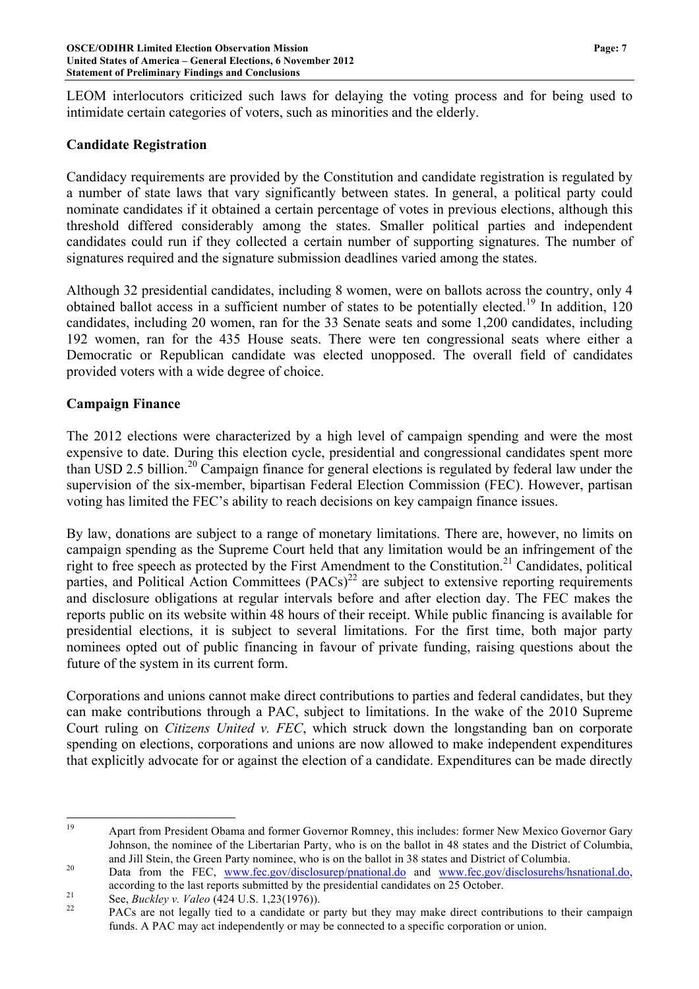LEOM interlocutors criticized such laws for delaying the voting process and for being used to intimidate certain categories of voters, such as minorities and the elderly.

# **Candidate Registration**

Candidacy requirements are provided by the Constitution and candidate registration is regulated by a number of state laws that vary significantly between states. In general, a political party could nominate candidates if it obtained a certain percentage of votes in previous elections, although this threshold differed considerably among the states. Smaller political parties and independent candidates could run if they collected a certain number of supporting signatures. The number of signatures required and the signature submission deadlines varied among the states.

Although 32 presidential candidates, including 8 women, were on ballots across the country, only 4 obtained ballot access in a sufficient number of states to be potentially elected.<sup>19</sup> In addition, 120 candidates, including 20 women, ran for the 33 Senate seats and some 1,200 candidates, including 192 women, ran for the 435 House seats. There were ten congressional seats where either a Democratic or Republican candidate was elected unopposed. The overall field of candidates provided voters with a wide degree of choice.

## **Campaign Finance**

The 2012 elections were characterized by a high level of campaign spending and were the most expensive to date. During this election cycle, presidential and congressional candidates spent more than USD 2.5 billion.<sup>20</sup> Campaign finance for general elections is regulated by federal law under the supervision of the six-member, bipartisan Federal Election Commission (FEC). However, partisan voting has limited the FEC's ability to reach decisions on key campaign finance issues.

By law, donations are subject to a range of monetary limitations. There are, however, no limits on campaign spending as the Supreme Court held that any limitation would be an infringement of the right to free speech as protected by the First Amendment to the Constitution.<sup>21</sup> Candidates, political parties, and Political Action Committees  $(PACs)^{22}$  are subject to extensive reporting requirements and disclosure obligations at regular intervals before and after election day. The FEC makes the reports public on its website within 48 hours of their receipt. While public financing is available for presidential elections, it is subject to several limitations. For the first time, both major party nominees opted out of public financing in favour of private funding, raising questions about the future of the system in its current form.

Corporations and unions cannot make direct contributions to parties and federal candidates, but they can make contributions through a PAC, subject to limitations. In the wake of the 2010 Supreme Court ruling on *Citizens United v. FEC*, which struck down the longstanding ban on corporate spending on elections, corporations and unions are now allowed to make independent expenditures that explicitly advocate for or against the election of a candidate. Expenditures can be made directly

 <sup>19</sup> Apart from President Obama and former Governor Romney, this includes: former New Mexico Governor Gary Johnson, the nominee of the Libertarian Party, who is on the ballot in 48 states and the District of Columbia,

and Jill Stein, the Green Party nominee, who is on the ballot in 38 states and District of Columbia.<br><sup>20</sup> Data from the FEC, www.fec.gov/disclosurep/pnational.do and www.fec.gov/disclosurehs/hsnational.do, according to the last reports submitted by the presidential candidates on 25 October.<br>See, *Buckley v. Valeo* (424 U.S. 1,23(1976)).<br>PACs are not legally tied to a candidate or party but they may make direct contributions

funds. A PAC may act independently or may be connected to a specific corporation or union.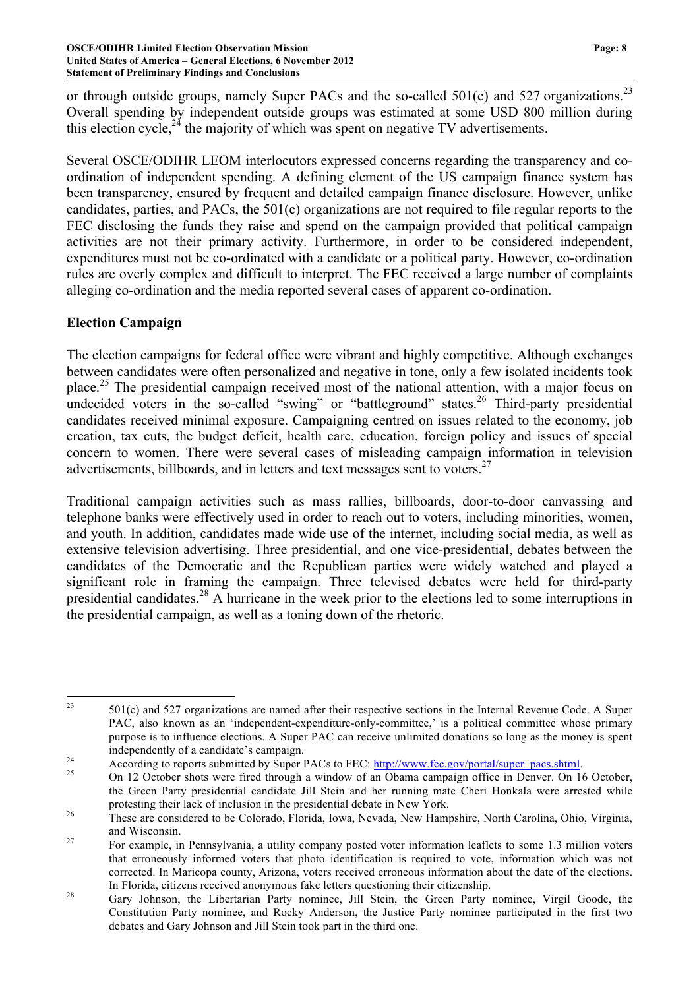or through outside groups, namely Super PACs and the so-called 501(c) and 527 organizations.<sup>23</sup> Overall spending by independent outside groups was estimated at some USD 800 million during this election cycle,<sup>24</sup> the majority of which was spent on negative TV advertisements.

Several OSCE/ODIHR LEOM interlocutors expressed concerns regarding the transparency and coordination of independent spending. A defining element of the US campaign finance system has been transparency, ensured by frequent and detailed campaign finance disclosure. However, unlike candidates, parties, and PACs, the 501(c) organizations are not required to file regular reports to the FEC disclosing the funds they raise and spend on the campaign provided that political campaign activities are not their primary activity. Furthermore, in order to be considered independent, expenditures must not be co-ordinated with a candidate or a political party. However, co-ordination rules are overly complex and difficult to interpret. The FEC received a large number of complaints alleging co-ordination and the media reported several cases of apparent co-ordination.

## **Election Campaign**

The election campaigns for federal office were vibrant and highly competitive. Although exchanges between candidates were often personalized and negative in tone, only a few isolated incidents took place.<sup>25</sup> The presidential campaign received most of the national attention, with a major focus on undecided voters in the so-called "swing" or "battleground" states.<sup>26</sup> Third-party presidential candidates received minimal exposure. Campaigning centred on issues related to the economy, job creation, tax cuts, the budget deficit, health care, education, foreign policy and issues of special concern to women. There were several cases of misleading campaign information in television advertisements, billboards, and in letters and text messages sent to voters.<sup>27</sup>

Traditional campaign activities such as mass rallies, billboards, door-to-door canvassing and telephone banks were effectively used in order to reach out to voters, including minorities, women, and youth. In addition, candidates made wide use of the internet, including social media, as well as extensive television advertising. Three presidential, and one vice-presidential, debates between the candidates of the Democratic and the Republican parties were widely watched and played a significant role in framing the campaign. Three televised debates were held for third-party presidential candidates.<sup>28</sup> A hurricane in the week prior to the elections led to some interruptions in the presidential campaign, as well as a toning down of the rhetoric.

<sup>&</sup>lt;sup>23</sup> 501(c) and 527 organizations are named after their respective sections in the Internal Revenue Code. A Super PAC, also known as an 'independent-expenditure-only-committee,' is a political committee whose primary purpose is to influence elections. A Super PAC can receive unlimited donations so long as the money is spent independently of a candidate's campaign.<br>
According to reports submitted by Super PACs to FEC: http://www.fec.gov/portal/super\_pacs.shtml.<br>
On 12 October shots were fired through a window of an Obama campaign office in Den

the Green Party presidential candidate Jill Stein and her running mate Cheri Honkala were arrested while protesting their lack of inclusion in the presidential debate in New York.<br><sup>26</sup> These are considered to be Colorado, Florida, Iowa, Nevada, New Hampshire, North Carolina, Ohio, Virginia,

and Wisconsin.<br><sup>27</sup> For example, in Pennsylvania, a utility company posted voter information leaflets to some 1.3 million voters that erroneously informed voters that photo identification is required to vote, information which was not corrected. In Maricopa county, Arizona, voters received erroneous information about the date of the elections.

In Florida, citizens received anonymous fake letters questioning their citizenship. 28 Gary Johnson, the Libertarian Party nominee, Jill Stein, the Green Party nominee, Virgil Goode, the Constitution Party nominee, and Rocky Anderson, the Justice Party nominee participated in the first two debates and Gary Johnson and Jill Stein took part in the third one.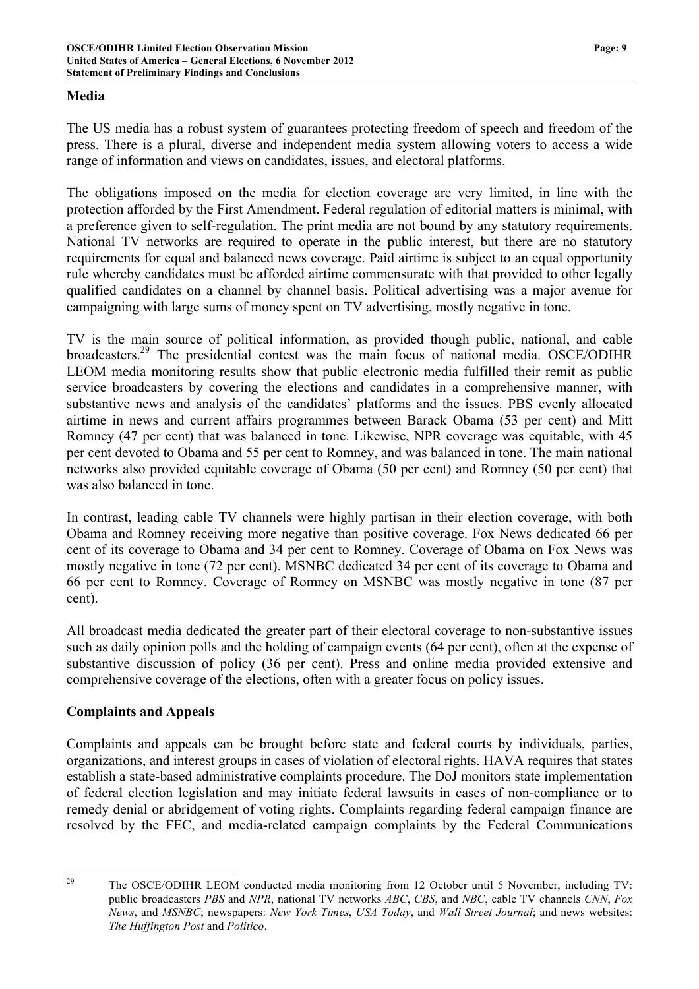#### **Media**

The US media has a robust system of guarantees protecting freedom of speech and freedom of the press. There is a plural, diverse and independent media system allowing voters to access a wide range of information and views on candidates, issues, and electoral platforms.

The obligations imposed on the media for election coverage are very limited, in line with the protection afforded by the First Amendment. Federal regulation of editorial matters is minimal, with a preference given to self-regulation. The print media are not bound by any statutory requirements. National TV networks are required to operate in the public interest, but there are no statutory requirements for equal and balanced news coverage. Paid airtime is subject to an equal opportunity rule whereby candidates must be afforded airtime commensurate with that provided to other legally qualified candidates on a channel by channel basis. Political advertising was a major avenue for campaigning with large sums of money spent on TV advertising, mostly negative in tone.

TV is the main source of political information, as provided though public, national, and cable broadcasters.<sup>29</sup> The presidential contest was the main focus of national media. OSCE/ODIHR LEOM media monitoring results show that public electronic media fulfilled their remit as public service broadcasters by covering the elections and candidates in a comprehensive manner, with substantive news and analysis of the candidates' platforms and the issues. PBS evenly allocated airtime in news and current affairs programmes between Barack Obama (53 per cent) and Mitt Romney (47 per cent) that was balanced in tone. Likewise, NPR coverage was equitable, with 45 per cent devoted to Obama and 55 per cent to Romney, and was balanced in tone. The main national networks also provided equitable coverage of Obama (50 per cent) and Romney (50 per cent) that was also balanced in tone.

In contrast, leading cable TV channels were highly partisan in their election coverage, with both Obama and Romney receiving more negative than positive coverage. Fox News dedicated 66 per cent of its coverage to Obama and 34 per cent to Romney. Coverage of Obama on Fox News was mostly negative in tone (72 per cent). MSNBC dedicated 34 per cent of its coverage to Obama and 66 per cent to Romney. Coverage of Romney on MSNBC was mostly negative in tone (87 per cent).

All broadcast media dedicated the greater part of their electoral coverage to non-substantive issues such as daily opinion polls and the holding of campaign events (64 per cent), often at the expense of substantive discussion of policy (36 per cent). Press and online media provided extensive and comprehensive coverage of the elections, often with a greater focus on policy issues.

### **Complaints and Appeals**

Complaints and appeals can be brought before state and federal courts by individuals, parties, organizations, and interest groups in cases of violation of electoral rights. HAVA requires that states establish a state-based administrative complaints procedure. The DoJ monitors state implementation of federal election legislation and may initiate federal lawsuits in cases of non-compliance or to remedy denial or abridgement of voting rights. Complaints regarding federal campaign finance are resolved by the FEC, and media-related campaign complaints by the Federal Communications

<sup>&</sup>lt;sup>29</sup> The OSCE/ODIHR LEOM conducted media monitoring from 12 October until 5 November, including TV: public broadcasters *PBS* and *NPR*, national TV networks *ABC*, *CBS*, and *NBC*, cable TV channels *CNN*, *Fox News*, and *MSNBC*; newspapers: *New York Times*, *USA Today*, and *Wall Street Journal*; and news websites: *The Huffington Post* and *Politico*.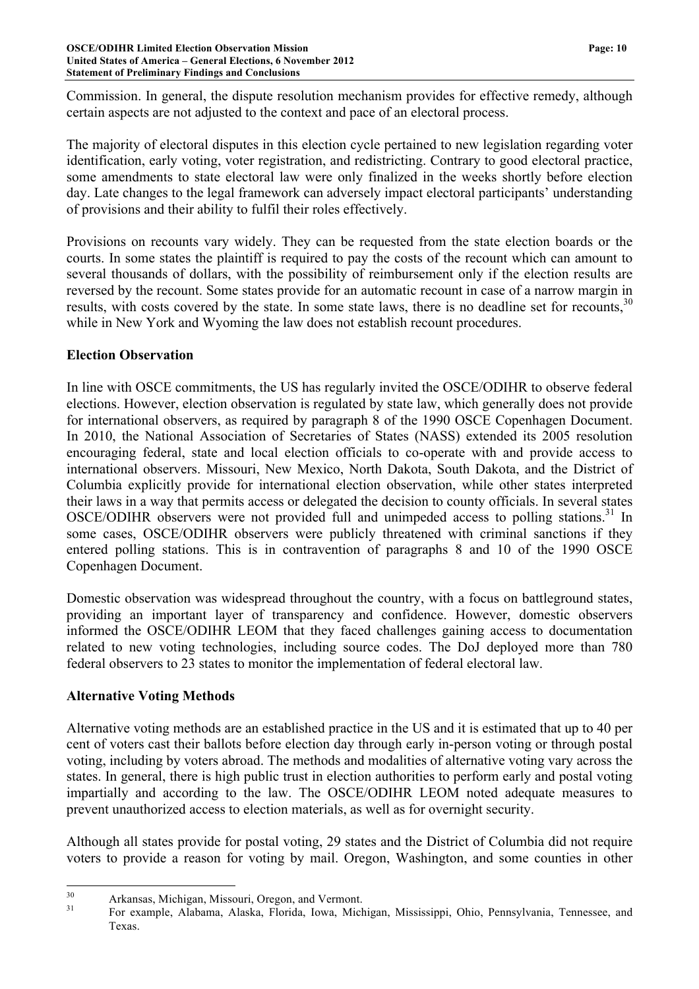Commission. In general, the dispute resolution mechanism provides for effective remedy, although certain aspects are not adjusted to the context and pace of an electoral process.

The majority of electoral disputes in this election cycle pertained to new legislation regarding voter identification, early voting, voter registration, and redistricting. Contrary to good electoral practice, some amendments to state electoral law were only finalized in the weeks shortly before election day. Late changes to the legal framework can adversely impact electoral participants' understanding of provisions and their ability to fulfil their roles effectively.

Provisions on recounts vary widely. They can be requested from the state election boards or the courts. In some states the plaintiff is required to pay the costs of the recount which can amount to several thousands of dollars, with the possibility of reimbursement only if the election results are reversed by the recount. Some states provide for an automatic recount in case of a narrow margin in results, with costs covered by the state. In some state laws, there is no deadline set for recounts.<sup>30</sup> while in New York and Wyoming the law does not establish recount procedures.

## **Election Observation**

In line with OSCE commitments, the US has regularly invited the OSCE/ODIHR to observe federal elections. However, election observation is regulated by state law, which generally does not provide for international observers, as required by paragraph 8 of the 1990 OSCE Copenhagen Document. In 2010, the National Association of Secretaries of States (NASS) extended its 2005 resolution encouraging federal, state and local election officials to co-operate with and provide access to international observers. Missouri, New Mexico, North Dakota, South Dakota, and the District of Columbia explicitly provide for international election observation, while other states interpreted their laws in a way that permits access or delegated the decision to county officials. In several states OSCE/ODIHR observers were not provided full and unimpeded access to polling stations.<sup>31</sup> In some cases, OSCE/ODIHR observers were publicly threatened with criminal sanctions if they entered polling stations. This is in contravention of paragraphs 8 and 10 of the 1990 OSCE Copenhagen Document.

Domestic observation was widespread throughout the country, with a focus on battleground states, providing an important layer of transparency and confidence. However, domestic observers informed the OSCE/ODIHR LEOM that they faced challenges gaining access to documentation related to new voting technologies, including source codes. The DoJ deployed more than 780 federal observers to 23 states to monitor the implementation of federal electoral law.

# **Alternative Voting Methods**

Alternative voting methods are an established practice in the US and it is estimated that up to 40 per cent of voters cast their ballots before election day through early in-person voting or through postal voting, including by voters abroad. The methods and modalities of alternative voting vary across the states. In general, there is high public trust in election authorities to perform early and postal voting impartially and according to the law. The OSCE/ODIHR LEOM noted adequate measures to prevent unauthorized access to election materials, as well as for overnight security.

Although all states provide for postal voting, 29 states and the District of Columbia did not require voters to provide a reason for voting by mail. Oregon, Washington, and some counties in other

<sup>&</sup>lt;sup>30</sup> Arkansas, Michigan, Missouri, Oregon, and Vermont.<br><sup>31</sup> For example, Alabama, Alaska, Florida, Iowa, Michigan, Mississippi, Ohio, Pennsylvania, Tennessee, and Texas.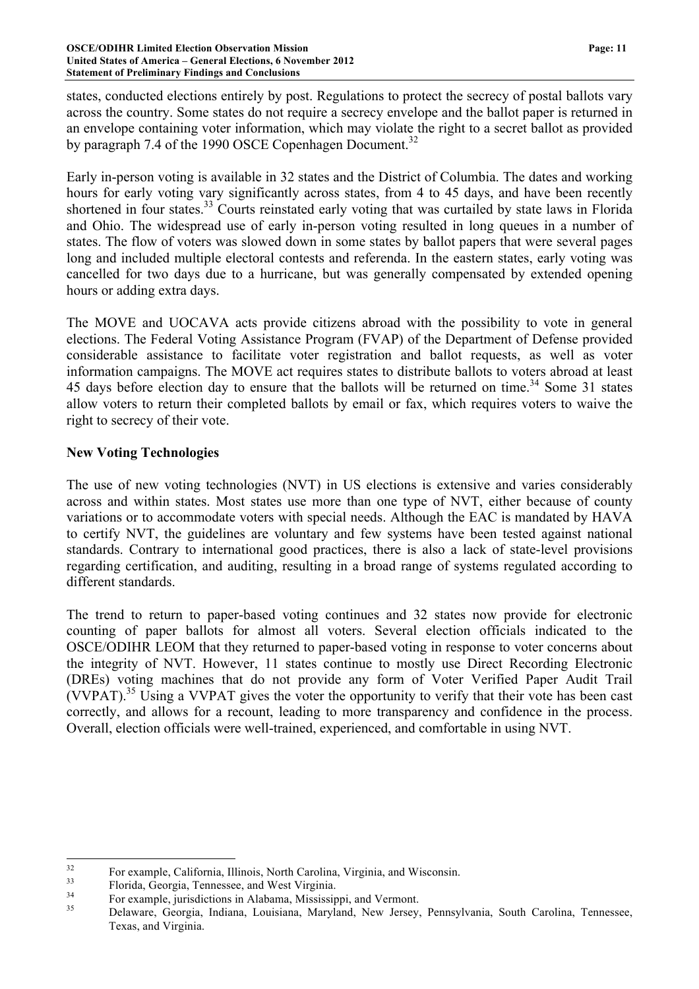states, conducted elections entirely by post. Regulations to protect the secrecy of postal ballots vary across the country. Some states do not require a secrecy envelope and the ballot paper is returned in an envelope containing voter information, which may violate the right to a secret ballot as provided by paragraph 7.4 of the 1990 OSCE Copenhagen Document.<sup>32</sup>

Early in-person voting is available in 32 states and the District of Columbia. The dates and working hours for early voting vary significantly across states, from 4 to 45 days, and have been recently shortened in four states.<sup>33</sup> Courts reinstated early voting that was curtailed by state laws in Florida and Ohio. The widespread use of early in-person voting resulted in long queues in a number of states. The flow of voters was slowed down in some states by ballot papers that were several pages long and included multiple electoral contests and referenda. In the eastern states, early voting was cancelled for two days due to a hurricane, but was generally compensated by extended opening hours or adding extra days.

The MOVE and UOCAVA acts provide citizens abroad with the possibility to vote in general elections. The Federal Voting Assistance Program (FVAP) of the Department of Defense provided considerable assistance to facilitate voter registration and ballot requests, as well as voter information campaigns. The MOVE act requires states to distribute ballots to voters abroad at least 45 days before election day to ensure that the ballots will be returned on time.<sup>34</sup> Some 31 states allow voters to return their completed ballots by email or fax, which requires voters to waive the right to secrecy of their vote.

# **New Voting Technologies**

The use of new voting technologies (NVT) in US elections is extensive and varies considerably across and within states. Most states use more than one type of NVT, either because of county variations or to accommodate voters with special needs. Although the EAC is mandated by HAVA to certify NVT, the guidelines are voluntary and few systems have been tested against national standards. Contrary to international good practices, there is also a lack of state-level provisions regarding certification, and auditing, resulting in a broad range of systems regulated according to different standards.

The trend to return to paper-based voting continues and 32 states now provide for electronic counting of paper ballots for almost all voters. Several election officials indicated to the OSCE/ODIHR LEOM that they returned to paper-based voting in response to voter concerns about the integrity of NVT. However, 11 states continue to mostly use Direct Recording Electronic (DREs) voting machines that do not provide any form of Voter Verified Paper Audit Trail (VVPAT).35 Using a VVPAT gives the voter the opportunity to verify that their vote has been cast correctly, and allows for a recount, leading to more transparency and confidence in the process. Overall, election officials were well-trained, experienced, and comfortable in using NVT.

<sup>&</sup>lt;sup>32</sup> For example, California, Illinois, North Carolina, Virginia, and Wisconsin.<br><sup>33</sup> Florida, Georgia, Tennessee, and West Virginia.<br><sup>34</sup> For example, jurisdictions in Alabama, Mississippi, and Vermont.<br><sup>35</sup> Delaware, Geo Texas, and Virginia.